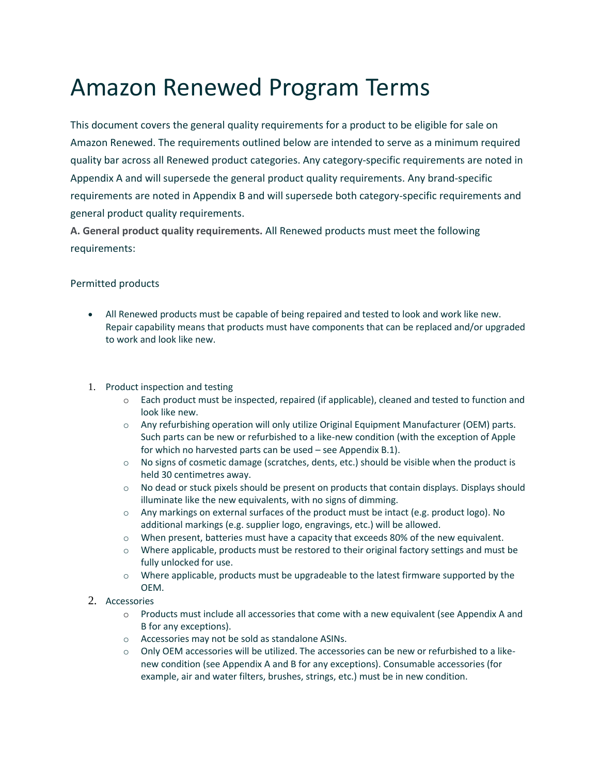# Amazon Renewed Program Terms

This document covers the general quality requirements for a product to be eligible for sale on Amazon Renewed. The requirements outlined below are intended to serve as a minimum required quality bar across all Renewed product categories. Any category-specific requirements are noted in Appendix A and will supersede the general product quality requirements. Any brand-specific requirements are noted in Appendix B and will supersede both category-specific requirements and general product quality requirements.

**A. General product quality requirements.** All Renewed products must meet the following requirements:

#### Permitted products

- All Renewed products must be capable of being repaired and tested to look and work like new. Repair capability means that products must have components that can be replaced and/or upgraded to work and look like new.
- 1. Product inspection and testing
	- o Each product must be inspected, repaired (if applicable), cleaned and tested to function and look like new.
	- o Any refurbishing operation will only utilize Original Equipment Manufacturer (OEM) parts. Such parts can be new or refurbished to a like-new condition (with the exception of Apple for which no harvested parts can be used – see Appendix B.1).
	- $\circ$  No signs of cosmetic damage (scratches, dents, etc.) should be visible when the product is held 30 centimetres away.
	- $\circ$  No dead or stuck pixels should be present on products that contain displays. Displays should illuminate like the new equivalents, with no signs of dimming.
	- $\circ$  Any markings on external surfaces of the product must be intact (e.g. product logo). No additional markings (e.g. supplier logo, engravings, etc.) will be allowed.
	- o When present, batteries must have a capacity that exceeds 80% of the new equivalent.
	- $\circ$  Where applicable, products must be restored to their original factory settings and must be fully unlocked for use.
	- o Where applicable, products must be upgradeable to the latest firmware supported by the OEM.
- 2. Accessories
	- $\circ$  Products must include all accessories that come with a new equivalent (see Appendix A and B for any exceptions).
	- o Accessories may not be sold as standalone ASINs.
	- $\circ$  Only OEM accessories will be utilized. The accessories can be new or refurbished to a likenew condition (see Appendix A and B for any exceptions). Consumable accessories (for example, air and water filters, brushes, strings, etc.) must be in new condition.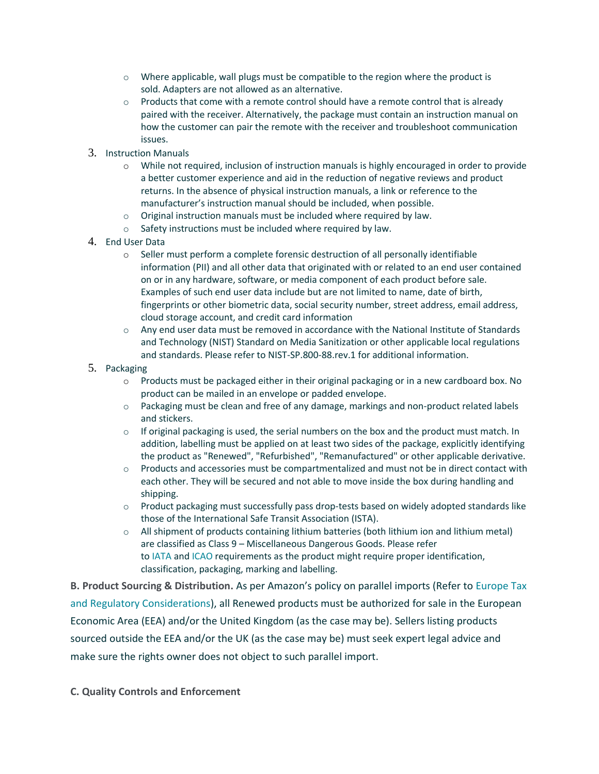- $\circ$  Where applicable, wall plugs must be compatible to the region where the product is sold. Adapters are not allowed as an alternative.
- $\circ$  Products that come with a remote control should have a remote control that is already paired with the receiver. Alternatively, the package must contain an instruction manual on how the customer can pair the remote with the receiver and troubleshoot communication issues.
- 3. Instruction Manuals
	- o While not required, inclusion of instruction manuals is highly encouraged in order to provide a better customer experience and aid in the reduction of negative reviews and product returns. In the absence of physical instruction manuals, a link or reference to the manufacturer's instruction manual should be included, when possible.
	- o Original instruction manuals must be included where required by law.
	- o Safety instructions must be included where required by law.
- 4. End User Data
	- $\circ$  Seller must perform a complete forensic destruction of all personally identifiable information (PII) and all other data that originated with or related to an end user contained on or in any hardware, software, or media component of each product before sale. Examples of such end user data include but are not limited to name, date of birth, fingerprints or other biometric data, social security number, street address, email address, cloud storage account, and credit card information
	- $\circ$  Any end user data must be removed in accordance with the National Institute of Standards and Technology (NIST) Standard on Media Sanitization or other applicable local regulations and standards. Please refer to NIST-SP.800-88.rev.1 for additional information.
- 5. Packaging
	- o Products must be packaged either in their original packaging or in a new cardboard box. No product can be mailed in an envelope or padded envelope.
	- o Packaging must be clean and free of any damage, markings and non-product related labels and stickers.
	- $\circ$  If original packaging is used, the serial numbers on the box and the product must match. In addition, labelling must be applied on at least two sides of the package, explicitly identifying the product as "Renewed", "Refurbished", "Remanufactured" or other applicable derivative.
	- $\circ$  Products and accessories must be compartmentalized and must not be in direct contact with each other. They will be secured and not able to move inside the box during handling and shipping.
	- $\circ$  Product packaging must successfully pass drop-tests based on widely adopted standards like those of the International Safe Transit Association (ISTA).
	- $\circ$  All shipment of products containing lithium batteries (both lithium ion and lithium metal) are classified as Class 9 – Miscellaneous Dangerous Goods. Please refer to [IATA](https://www.iata.org/Pages/default.aspx) and [ICAO](https://www.icao.int/Pages/default.aspx) requirements as the product might require proper identification, classification, packaging, marking and labelling.

**B. Product Sourcing & Distribution.** As per Amazon's policy on parallel imports (Refer to [Europe Tax](https://sellercentral-europe.amazon.com/gp/help/201468410)  [and Regulatory Considerations\)](https://sellercentral-europe.amazon.com/gp/help/201468410), all Renewed products must be authorized for sale in the European Economic Area (EEA) and/or the United Kingdom (as the case may be). Sellers listing products sourced outside the EEA and/or the UK (as the case may be) must seek expert legal advice and make sure the rights owner does not object to such parallel import.

**C. Quality Controls and Enforcement**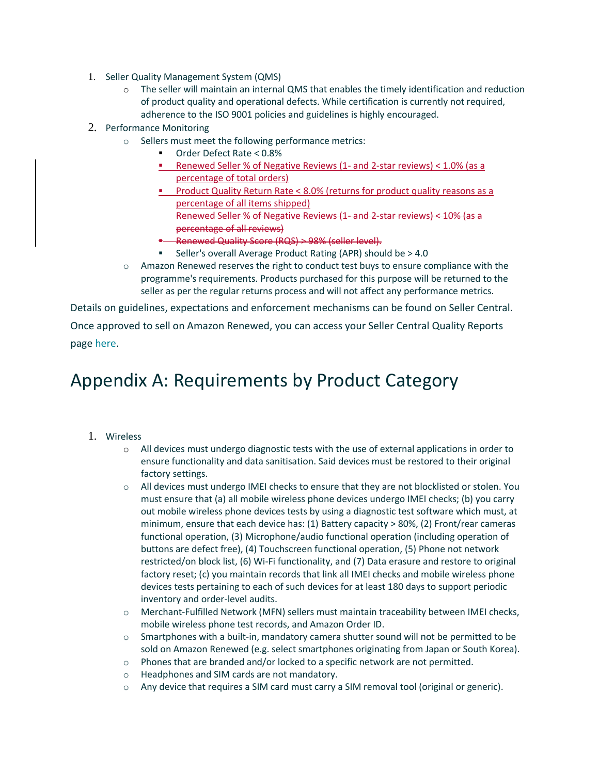- 1. Seller Quality Management System (QMS)
	- o The seller will maintain an internal QMS that enables the timely identification and reduction of product quality and operational defects. While certification is currently not required, adherence to the ISO 9001 policies and guidelines is highly encouraged.
- 2. Performance Monitoring
	- o Sellers must meet the following performance metrics:
		- Order Defect Rate < 0.8%
		- Renewed Seller % of Negative Reviews (1- and 2-star reviews) < 1.0% (as a percentage of total orders)
		- Product Quality Return Rate < 8.0% (returns for product quality reasons as a percentage of all items shipped) Renewed Seller % of Negative Reviews (1- and 2-star reviews) < 10% (as a percentage of all reviews)
		- Renewed Quality Score (RQS) > 98% (seller level).
		- Seller's overall Average Product Rating (APR) should be > 4.0
	- $\circ$  Amazon Renewed reserves the right to conduct test buys to ensure compliance with the programme's requirements. Products purchased for this purpose will be returned to the seller as per the regular returns process and will not affect any performance metrics.

Details on guidelines, expectations and enforcement mechanisms can be found on Seller Central. Once approved to sell on Amazon Renewed, you can access your Seller Central Quality Reports page [here.](https://sellercentral-europe.amazon.com/gc/renewed/quality-score-dashboard)

#### Appendix A: Requirements by Product Category

- 1. Wireless
	- $\circ$  All devices must undergo diagnostic tests with the use of external applications in order to ensure functionality and data sanitisation. Said devices must be restored to their original factory settings.
	- $\circ$  All devices must undergo IMEI checks to ensure that they are not blocklisted or stolen. You must ensure that (a) all mobile wireless phone devices undergo IMEI checks; (b) you carry out mobile wireless phone devices tests by using a diagnostic test software which must, at minimum, ensure that each device has: (1) Battery capacity > 80%, (2) Front/rear cameras functional operation, (3) Microphone/audio functional operation (including operation of buttons are defect free), (4) Touchscreen functional operation, (5) Phone not network restricted/on block list, (6) Wi-Fi functionality, and (7) Data erasure and restore to original factory reset; (c) you maintain records that link all IMEI checks and mobile wireless phone devices tests pertaining to each of such devices for at least 180 days to support periodic inventory and order-level audits.
	- o Merchant-Fulfilled Network (MFN) sellers must maintain traceability between IMEI checks, mobile wireless phone test records, and Amazon Order ID.
	- $\circ$  Smartphones with a built-in, mandatory camera shutter sound will not be permitted to be sold on Amazon Renewed (e.g. select smartphones originating from Japan or South Korea).
	- o Phones that are branded and/or locked to a specific network are not permitted.
	- o Headphones and SIM cards are not mandatory.
	- o Any device that requires a SIM card must carry a SIM removal tool (original or generic).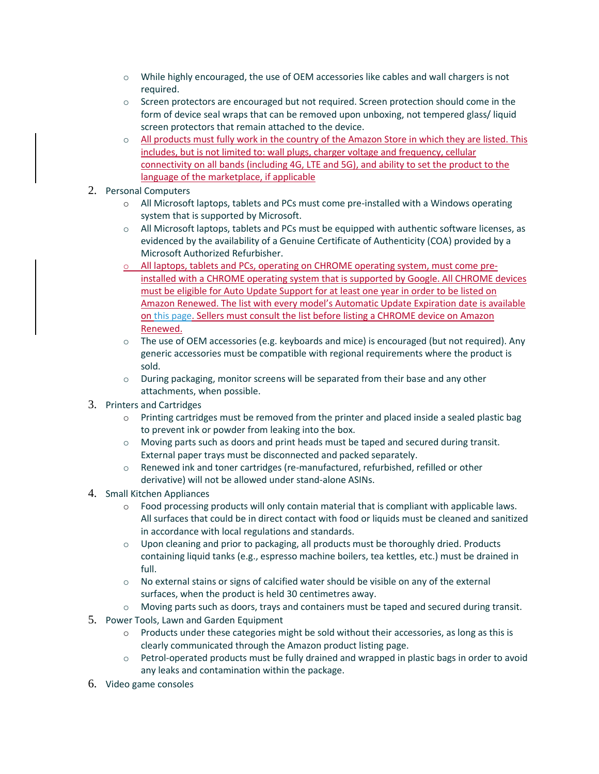- $\circ$  While highly encouraged, the use of OEM accessories like cables and wall chargers is not required.
- o Screen protectors are encouraged but not required. Screen protection should come in the form of device seal wraps that can be removed upon unboxing, not tempered glass/ liquid screen protectors that remain attached to the device.
- $\circ$  All products must fully work in the country of the Amazon Store in which they are listed. This includes, but is not limited to: wall plugs, charger voltage and frequency, cellular connectivity on all bands (including 4G, LTE and 5G), and ability to set the product to the language of the marketplace, if applicable
- 2. Personal Computers
	- o All Microsoft laptops, tablets and PCs must come pre-installed with a Windows operating system that is supported by Microsoft.
	- $\circ$  All Microsoft laptops, tablets and PCs must be equipped with authentic software licenses, as evidenced by the availability of a Genuine Certificate of Authenticity (COA) provided by a Microsoft Authorized Refurbisher.
	- o All laptops, tablets and PCs, operating on CHROME operating system, must come preinstalled with a CHROME operating system that is supported by Google. All CHROME devices must be eligible for Auto Update Support for at least one year in order to be listed on Amazon Renewed. The list with every model's Automatic Update Expiration date is available o[n this page.](https://support.google.com/chrome/a/answer/6220366) Sellers must consult the list before listing a CHROME device on Amazon Renewed.
	- o The use of OEM accessories (e.g. keyboards and mice) is encouraged (but not required). Any generic accessories must be compatible with regional requirements where the product is sold.
	- $\circ$  During packaging, monitor screens will be separated from their base and any other attachments, when possible.
- 3. Printers and Cartridges
	- $\circ$  Printing cartridges must be removed from the printer and placed inside a sealed plastic bag to prevent ink or powder from leaking into the box.
	- $\circ$  Moving parts such as doors and print heads must be taped and secured during transit. External paper trays must be disconnected and packed separately.
	- $\circ$  Renewed ink and toner cartridges (re-manufactured, refurbished, refilled or other derivative) will not be allowed under stand-alone ASINs.
- 4. Small Kitchen Appliances
	- $\circ$  Food processing products will only contain material that is compliant with applicable laws. All surfaces that could be in direct contact with food or liquids must be cleaned and sanitized in accordance with local regulations and standards.
	- $\circ$  Upon cleaning and prior to packaging, all products must be thoroughly dried. Products containing liquid tanks (e.g., espresso machine boilers, tea kettles, etc.) must be drained in full.
	- $\circ$  No external stains or signs of calcified water should be visible on any of the external surfaces, when the product is held 30 centimetres away.
	- o Moving parts such as doors, trays and containers must be taped and secured during transit.
- 5. Power Tools, Lawn and Garden Equipment
	- o Products under these categories might be sold without their accessories, as long as this is clearly communicated through the Amazon product listing page.
	- $\circ$  Petrol-operated products must be fully drained and wrapped in plastic bags in order to avoid any leaks and contamination within the package.
- 6. Video game consoles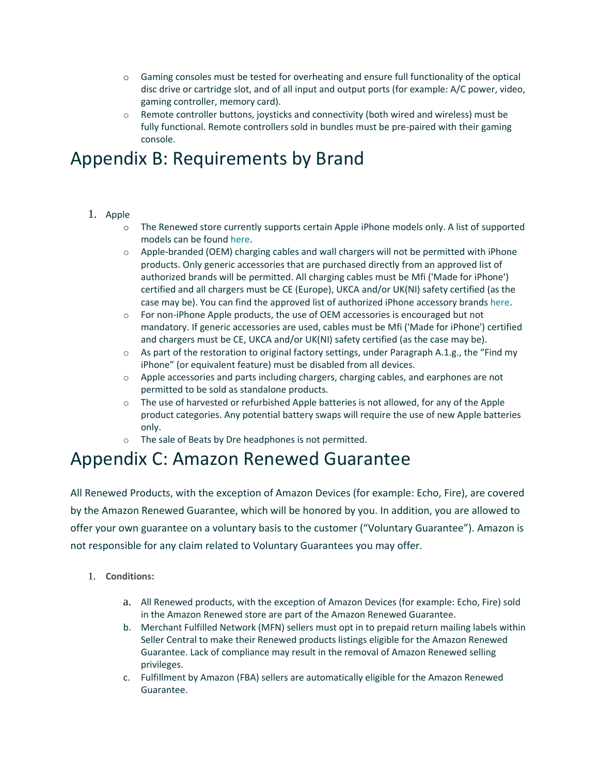- o Gaming consoles must be tested for overheating and ensure full functionality of the optical disc drive or cartridge slot, and of all input and output ports (for example: A/C power, video, gaming controller, memory card).
- o Remote controller buttons, joysticks and connectivity (both wired and wireless) must be fully functional. Remote controllers sold in bundles must be pre-paired with their gaming console.

### Appendix B: Requirements by Brand

- 1. Apple
	- o The Renewed store currently supports certain Apple iPhone models only. A list of supported models can be found [here.](https://sellercentral-europe.amazon.com/gp/help/G201648580)
	- o Apple-branded (OEM) charging cables and wall chargers will not be permitted with iPhone products. Only generic accessories that are purchased directly from an approved list of authorized brands will be permitted. All charging cables must be Mfi ('Made for iPhone') certified and all chargers must be CE (Europe), UKCA and/or UK(NI) safety certified (as the case may be). You can find the approved list of authorized iPhone accessory brands [here.](https://sellercentral-europe.amazon.com/gp/help/G201648580)
	- $\circ$  For non-iPhone Apple products, the use of OEM accessories is encouraged but not mandatory. If generic accessories are used, cables must be Mfi ('Made for iPhone') certified and chargers must be CE, UKCA and/or UK(NI) safety certified (as the case may be).
	- $\circ$  As part of the restoration to original factory settings, under Paragraph A.1.g., the "Find my iPhone" (or equivalent feature) must be disabled from all devices.
	- $\circ$  Apple accessories and parts including chargers, charging cables, and earphones are not permitted to be sold as standalone products.
	- o The use of harvested or refurbished Apple batteries is not allowed, for any of the Apple product categories. Any potential battery swaps will require the use of new Apple batteries only.
	- o The sale of Beats by Dre headphones is not permitted.

#### Appendix C: Amazon Renewed Guarantee

All Renewed Products, with the exception of Amazon Devices (for example: Echo, Fire), are covered by the Amazon Renewed Guarantee, which will be honored by you. In addition, you are allowed to offer your own guarantee on a voluntary basis to the customer ("Voluntary Guarantee"). Amazon is not responsible for any claim related to Voluntary Guarantees you may offer.

- 1. **Conditions:**
	- a. All Renewed products, with the exception of Amazon Devices (for example: Echo, Fire) sold in the Amazon Renewed store are part of the Amazon Renewed Guarantee.
	- b. Merchant Fulfilled Network (MFN) sellers must opt in to prepaid return mailing labels within Seller Central to make their Renewed products listings eligible for the Amazon Renewed Guarantee. Lack of compliance may result in the removal of Amazon Renewed selling privileges.
	- c. Fulfillment by Amazon (FBA) sellers are automatically eligible for the Amazon Renewed Guarantee.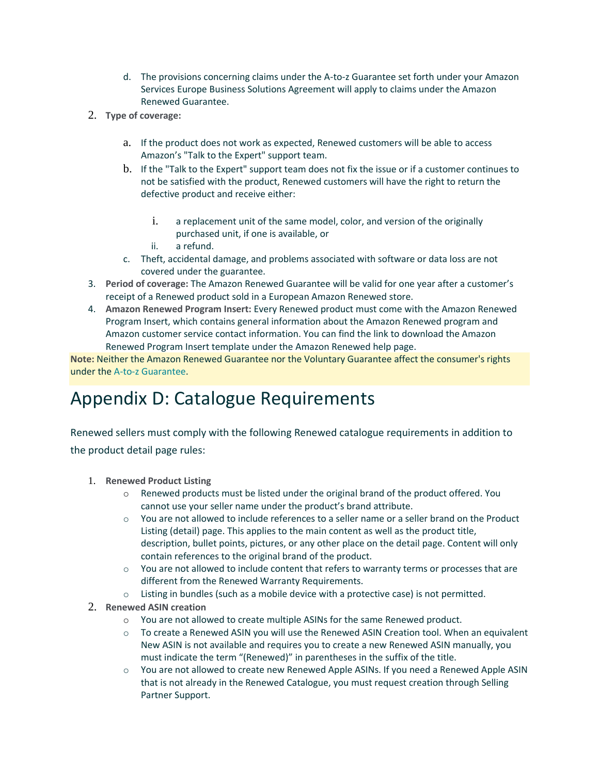- d. The provisions concerning claims under the A-to-z Guarantee set forth under your Amazon Services Europe Business Solutions Agreement will apply to claims under the Amazon Renewed Guarantee.
- 2. **Type of coverage:**
	- a. If the product does not work as expected, Renewed customers will be able to access Amazon's "Talk to the Expert" support team.
	- b. If the "Talk to the Expert" support team does not fix the issue or if a customer continues to not be satisfied with the product, Renewed customers will have the right to return the defective product and receive either:
		- i. a replacement unit of the same model, color, and version of the originally purchased unit, if one is available, or
		- ii. a refund.
	- c. Theft, accidental damage, and problems associated with software or data loss are not covered under the guarantee.
- 3. **Period of coverage:** The Amazon Renewed Guarantee will be valid for one year after a customer's receipt of a Renewed product sold in a European Amazon Renewed store.
- 4. **Amazon Renewed Program Insert:** Every Renewed product must come with the Amazon Renewed Program Insert, which contains general information about the Amazon Renewed program and Amazon customer service contact information. You can find the link to download the Amazon Renewed Program Insert template under the Amazon Renewed help page.

**Note:** Neither the Amazon Renewed Guarantee nor the Voluntary Guarantee affect the consumer's rights under the [A-to-z Guarantee.](https://sellercentral-europe.amazon.com/gp/help/27951)

## Appendix D: Catalogue Requirements

Renewed sellers must comply with the following Renewed catalogue requirements in addition to the product detail page rules:

- 1. **Renewed Product Listing**
	- o Renewed products must be listed under the original brand of the product offered. You cannot use your seller name under the product's brand attribute.
	- $\circ$  You are not allowed to include references to a seller name or a seller brand on the Product Listing (detail) page. This applies to the main content as well as the product title, description, bullet points, pictures, or any other place on the detail page. Content will only contain references to the original brand of the product.
	- $\circ$  You are not allowed to include content that refers to warranty terms or processes that are different from the Renewed Warranty Requirements.
	- $\circ$  Listing in bundles (such as a mobile device with a protective case) is not permitted.
- 2. **Renewed ASIN creation**
	- o You are not allowed to create multiple ASINs for the same Renewed product.
	- o To create a Renewed ASIN you will use the Renewed ASIN Creation tool. When an equivalent New ASIN is not available and requires you to create a new Renewed ASIN manually, you must indicate the term "(Renewed)" in parentheses in the suffix of the title.
	- o You are not allowed to create new Renewed Apple ASINs. If you need a Renewed Apple ASIN that is not already in the Renewed Catalogue, you must request creation through Selling Partner Support.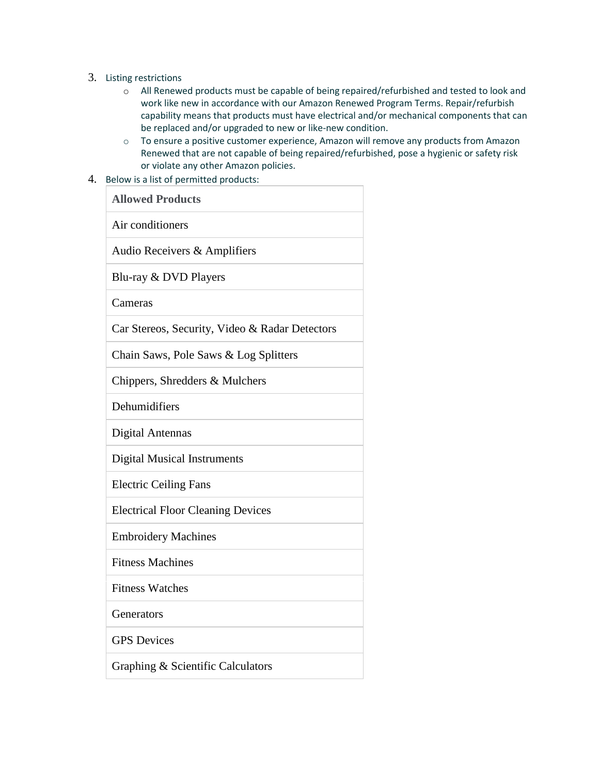- 3. Listing restrictions
	- o All Renewed products must be capable of being repaired/refurbished and tested to look and work like new in accordance with our Amazon Renewed Program Terms. Repair/refurbish capability means that products must have electrical and/or mechanical components that can be replaced and/or upgraded to new or like-new condition.
	- $\circ$  To ensure a positive customer experience, Amazon will remove any products from Amazon Renewed that are not capable of being repaired/refurbished, pose a hygienic or safety risk or violate any other Amazon policies.
- 4. Below is a list of permitted products:

| <b>Allowed Products</b>                        |
|------------------------------------------------|
| Air conditioners                               |
| Audio Receivers & Amplifiers                   |
| Blu-ray & DVD Players                          |
| Cameras                                        |
| Car Stereos, Security, Video & Radar Detectors |
| Chain Saws, Pole Saws & Log Splitters          |
| Chippers, Shredders & Mulchers                 |
| Dehumidifiers                                  |
| <b>Digital Antennas</b>                        |
| <b>Digital Musical Instruments</b>             |
| <b>Electric Ceiling Fans</b>                   |
| <b>Electrical Floor Cleaning Devices</b>       |
| <b>Embroidery Machines</b>                     |
| <b>Fitness Machines</b>                        |
| <b>Fitness Watches</b>                         |
| Generators                                     |
| <b>GPS</b> Devices                             |
| Graphing & Scientific Calculators              |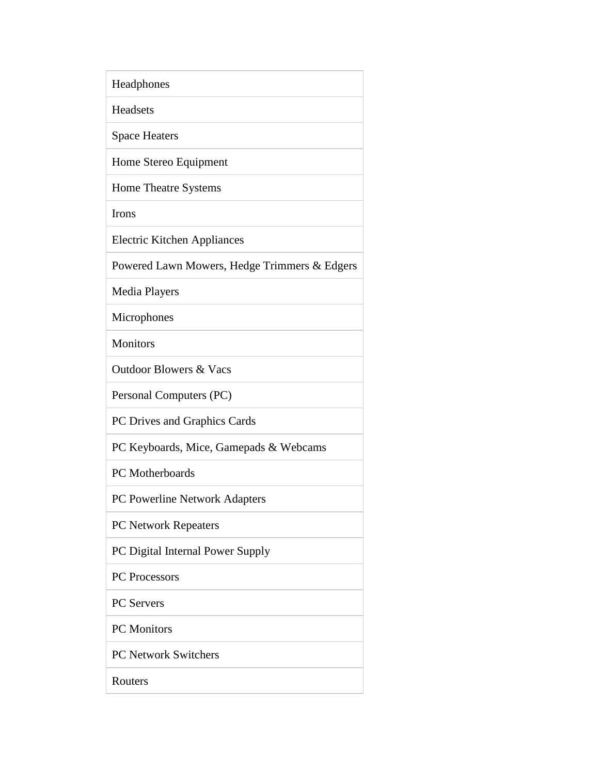| Headphones                                   |
|----------------------------------------------|
| Headsets                                     |
| <b>Space Heaters</b>                         |
| Home Stereo Equipment                        |
| Home Theatre Systems                         |
| Irons                                        |
| <b>Electric Kitchen Appliances</b>           |
| Powered Lawn Mowers, Hedge Trimmers & Edgers |
| Media Players                                |
| Microphones                                  |
| <b>Monitors</b>                              |
| <b>Outdoor Blowers &amp; Vacs</b>            |
| Personal Computers (PC)                      |
| PC Drives and Graphics Cards                 |
| PC Keyboards, Mice, Gamepads & Webcams       |
| PC Motherboards                              |
| PC Powerline Network Adapters                |
| <b>PC Network Repeaters</b>                  |
| PC Digital Internal Power Supply             |
| PC Processors                                |
| <b>PC</b> Servers                            |
| <b>PC</b> Monitors                           |
| <b>PC Network Switchers</b>                  |
| Routers                                      |
|                                              |